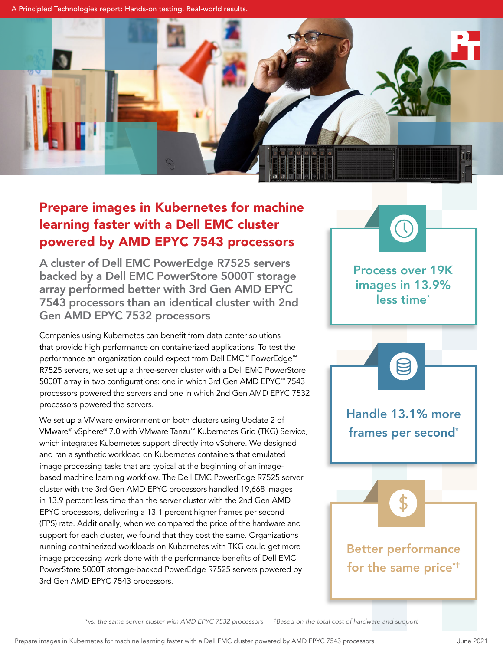A Principled Technologies report: Hands-on testing. Real-world results.



# Prepare images in Kubernetes for machine learning faster with a Dell EMC cluster powered by AMD EPYC 7543 processors

A cluster of Dell EMC PowerEdge R7525 servers backed by a Dell EMC PowerStore 5000T storage array performed better with 3rd Gen AMD EPYC 7543 processors than an identical cluster with 2nd Gen AMD EPYC 7532 processors

Companies using Kubernetes can benefit from data center solutions that provide high performance on containerized applications. To test the performance an organization could expect from Dell EMC™ PowerEdge™ R7525 servers, we set up a three-server cluster with a Dell EMC PowerStore 5000T array in two configurations: one in which 3rd Gen AMD EPYC™ 7543 processors powered the servers and one in which 2nd Gen AMD EPYC 7532 processors powered the servers.

We set up a VMware environment on both clusters using Update 2 of VMware® vSphere® 7.0 with VMware Tanzu™ Kubernetes Grid (TKG) Service, which integrates Kubernetes support directly into vSphere. We designed and ran a synthetic workload on Kubernetes containers that emulated image processing tasks that are typical at the beginning of an imagebased machine learning workflow. The Dell EMC PowerEdge R7525 server cluster with the 3rd Gen AMD EPYC processors handled 19,668 images in 13.9 percent less time than the server cluster with the 2nd Gen AMD EPYC processors, delivering a 13.1 percent higher frames per second (FPS) rate. Additionally, when we compared the price of the hardware and support for each cluster, we found that they cost the same. Organizations running containerized workloads on Kubernetes with TKG could get more image processing work done with the performance benefits of Dell EMC PowerStore 5000T storage-backed PowerEdge R7525 servers powered by 3rd Gen AMD EPYC 7543 processors.



*\*vs. the same server cluster with AMD EPYC 7532 processors † Based on the total cost of hardware and support*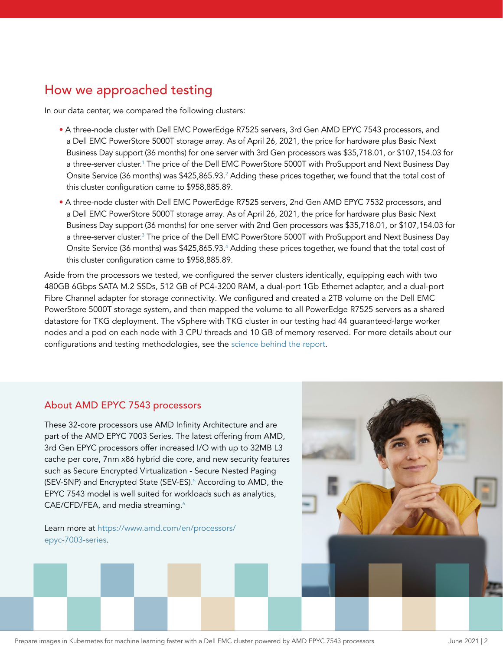### How we approached testing

In our data center, we compared the following clusters:

- A three-node cluster with Dell EMC PowerEdge R7525 servers, 3rd Gen AMD EPYC 7543 processors, and a Dell EMC PowerStore 5000T storage array. As of April 26, 2021, the price for hardware plus Basic Next Business Day support (36 months) for one server with 3rd Gen processors was \$35,718.01, or \$107,154.03 for a three-server cluster.[1](#page-6-0) The price of the Dell EMC PowerStore 5000T with ProSupport and Next Business Day Onsite Service (36 months) was \$425,865.93.<sup>2</sup> Adding these prices together, we found that the total cost of this cluster configuration came to \$958,885.89.
- A three-node cluster with Dell EMC PowerEdge R7525 servers, 2nd Gen AMD EPYC 7532 processors, and a Dell EMC PowerStore 5000T storage array. As of April 26, 2021, the price for hardware plus Basic Next Business Day support (36 months) for one server with 2nd Gen processors was \$35,718.01, or \$107,154.03 for a three-server cluster.[3](#page-6-2) The price of the Dell EMC PowerStore 5000T with ProSupport and Next Business Day Onsite Service (36 months) was \$425,865.93.<sup>4</sup> Adding these prices together, we found that the total cost of this cluster configuration came to \$958,885.89.

Aside from the processors we tested, we configured the server clusters identically, equipping each with two 480GB 6Gbps SATA M.2 SSDs, 512 GB of PC4-3200 RAM, a dual-port 1Gb Ethernet adapter, and a dual-port Fibre Channel adapter for storage connectivity. We configured and created a 2TB volume on the Dell EMC PowerStore 5000T storage system, and then mapped the volume to all PowerEdge R7525 servers as a shared datastore for TKG deployment. The vSphere with TKG cluster in our testing had 44 guaranteed-large worker nodes and a pod on each node with 3 CPU threads and 10 GB of memory reserved. For more details about our configurations and testing methodologies, see the [science behind the report](http://facts.pt/oYvyygs).

#### About AMD EPYC 7543 processors

These 32-core processors use AMD Infinity Architecture and are part of the AMD EPYC 7003 Series. The latest offering from AMD, 3rd Gen EPYC processors offer increased I/O with up to 32MB L3 cache per core, 7nm x86 hybrid die core, and new security features such as Secure Encrypted Virtualization - Secure Nested Paging (SEV-SNP) and Encrypted State (SEV-ES).<sup>[5](#page-6-4)</sup> According to AMD, the EPYC 7543 model is well suited for workloads such as analytics, CAE/CFD/FEA, and media streaming.<sup>6</sup>

Learn more at [https://www.amd.com/en/processors/](https://www.amd.com/en/processors/epyc-7003-series) [epyc-7003-series.](https://www.amd.com/en/processors/epyc-7003-series)



Prepare images in Kubernetes for machine learning faster with a Dell EMC cluster powered by AMD EPYC 7543 processors June 2021 | 2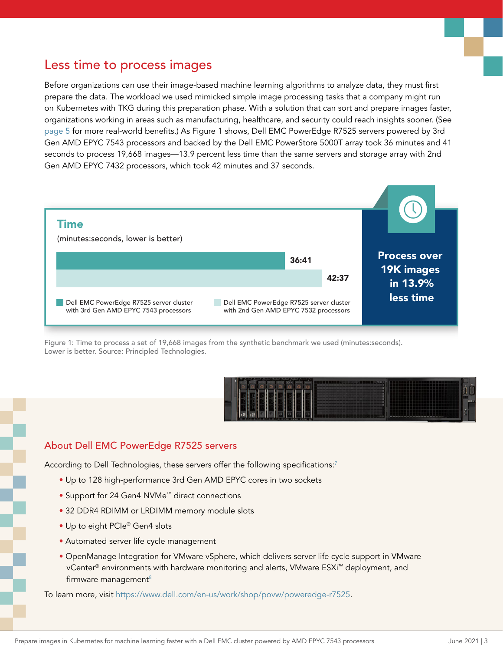### Less time to process images

Before organizations can use their image-based machine learning algorithms to analyze data, they must first prepare the data. The workload we used mimicked simple image processing tasks that a company might run on Kubernetes with TKG during this preparation phase. With a solution that can sort and prepare images faster, organizations working in areas such as manufacturing, healthcare, and security could reach insights sooner. (See [page 5](#page-4-0) for more real-world benefits.) As Figure 1 shows, Dell EMC PowerEdge R7525 servers powered by 3rd Gen AMD EPYC 7543 processors and backed by the Dell EMC PowerStore 5000T array took 36 minutes and 41 seconds to process 19,668 images—13.9 percent less time than the same servers and storage array with 2nd Gen AMD EPYC 7432 processors, which took 42 minutes and 37 seconds.



Figure 1: Time to process a set of 19,668 images from the synthetic benchmark we used (minutes:seconds). Lower is better. Source: Principled Technologies.



#### About Dell EMC PowerEdge R7525 servers

According to Dell Technologies, these servers offer the following specifications:<sup>7</sup>

- Up to 128 high-performance 3rd Gen AMD EPYC cores in two sockets
- Support for 24 Gen4 NVMe™ direct connections
- 32 DDR4 RDIMM or LRDIMM memory module slots
- Up to eight PCIe® Gen4 slots
- Automated server life cycle management
- OpenManage Integration for VMware vSphere, which delivers server life cycle support in VMware vCenter® environments with hardware monitoring and alerts, VMware ESXi™ deployment, and firmware management $8$

To learn more, visit<https://www.dell.com/en-us/work/shop/povw/poweredge-r7525>.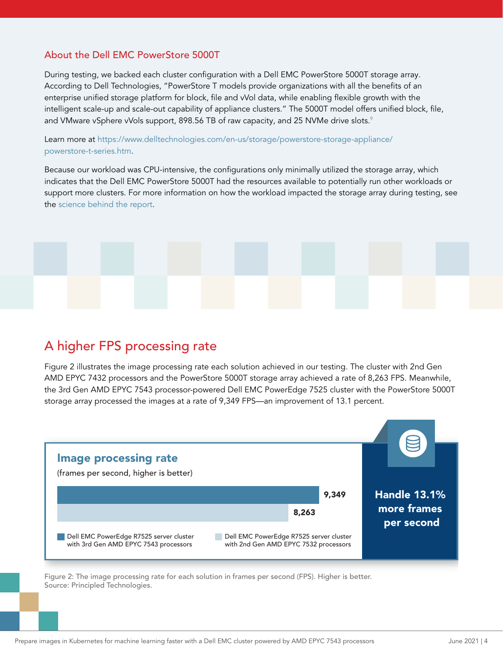### About the Dell EMC PowerStore 5000T

During testing, we backed each cluster configuration with a Dell EMC PowerStore 5000T storage array. According to Dell Technologies, "PowerStore T models provide organizations with all the benefits of an enterprise unified storage platform for block, file and vVol data, while enabling flexible growth with the intelligent scale-up and scale-out capability of appliance clusters." The 5000T model offers unified block, file, and VMware vSphere vVols support, 8[9](#page-6-8)8.56 TB of raw capacity, and 25 NVMe drive slots.<sup>9</sup>

Learn more at [https://www.delltechnologies.com/en-us/storage/powerstore-storage-appliance/](https://www.delltechnologies.com/en-us/storage/powerstore-storage-appliance/powerstore-t-series.htm) [powerstore-t-series.htm.](https://www.delltechnologies.com/en-us/storage/powerstore-storage-appliance/powerstore-t-series.htm)

Because our workload was CPU-intensive, the configurations only minimally utilized the storage array, which indicates that the Dell EMC PowerStore 5000T had the resources available to potentially run other workloads or support more clusters. For more information on how the workload impacted the storage array during testing, see the [science behind the report.](http://facts.pt/oYvyygs)



## A higher FPS processing rate

Figure 2 illustrates the image processing rate each solution achieved in our testing. The cluster with 2nd Gen AMD EPYC 7432 processors and the PowerStore 5000T storage array achieved a rate of 8,263 FPS. Meanwhile, the 3rd Gen AMD EPYC 7543 processor-powered Dell EMC PowerEdge 7525 cluster with the PowerStore 5000T storage array processed the images at a rate of 9,349 FPS—an improvement of 13.1 percent.



Figure 2: The image processing rate for each solution in frames per second (FPS). Higher is better. Source: Principled Technologies.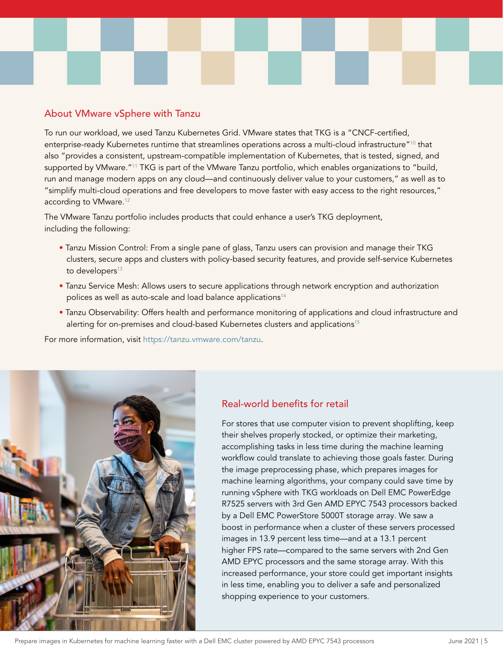### <span id="page-4-0"></span>About VMware vSphere with Tanzu

To run our workload, we used Tanzu Kubernetes Grid. VMware states that TKG is a "CNCF-certified, enterprise-ready Kubernetes runtime that streamlines operations across a multi-cloud infrastructure["10](#page-6-9) that also "provides a consistent, upstream-compatible implementation of Kubernetes, that is tested, signed, and supported by VMware."<sup>[11](#page-6-10)</sup> TKG is part of the VMware Tanzu portfolio, which enables organizations to "build, run and manage modern apps on any cloud—and continuously deliver value to your customers," as well as to "simplify multi-cloud operations and free developers to move faster with easy access to the right resources," according to VMware.<sup>[12](#page-6-11)</sup>

The VMware Tanzu portfolio includes products that could enhance a user's TKG deployment, including the following:

- Tanzu Mission Control: From a single pane of glass, Tanzu users can provision and manage their TKG clusters, secure apps and clusters with policy-based security features, and provide self-service Kubernetes to developers<sup>[13](#page-6-12)</sup>
- Tanzu Service Mesh: Allows users to secure applications through network encryption and authorization polices as well as auto-scale and load balance applications<sup>[14](#page-6-13)</sup>
- Tanzu Observability: Offers health and performance monitoring of applications and cloud infrastructure and alerting for on-premises and cloud-based Kubernetes clusters and applications<sup>[15](#page-6-14)</sup>

For more information, visit [https://tanzu.vmware.com/tanzu.](https://tanzu.vmware.com/tanzu)



### Real-world benefits for retail

For stores that use computer vision to prevent shoplifting, keep their shelves properly stocked, or optimize their marketing, accomplishing tasks in less time during the machine learning workflow could translate to achieving those goals faster. During the image preprocessing phase, which prepares images for machine learning algorithms, your company could save time by running vSphere with TKG workloads on Dell EMC PowerEdge R7525 servers with 3rd Gen AMD EPYC 7543 processors backed by a Dell EMC PowerStore 5000T storage array. We saw a boost in performance when a cluster of these servers processed images in 13.9 percent less time—and at a 13.1 percent higher FPS rate—compared to the same servers with 2nd Gen AMD EPYC processors and the same storage array. With this increased performance, your store could get important insights in less time, enabling you to deliver a safe and personalized shopping experience to your customers.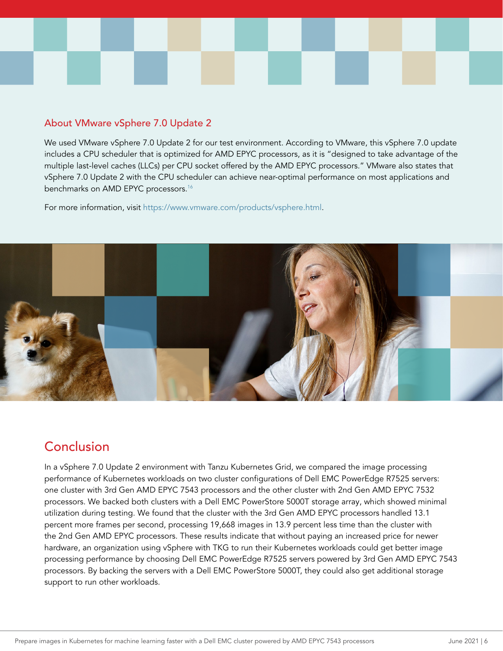

#### About VMware vSphere 7.0 Update 2

We used VMware vSphere 7.0 Update 2 for our test environment. According to VMware, this vSphere 7.0 update includes a CPU scheduler that is optimized for AMD EPYC processors, as it is "designed to take advantage of the multiple last-level caches (LLCs) per CPU socket offered by the AMD EPYC processors." VMware also states that vSphere 7.0 Update 2 with the CPU scheduler can achieve near-optimal performance on most applications and benchmarks on AMD EPYC processors.<sup>16</sup>

For more information, visit [https://www.vmware.com/products/vsphere.html.](https://www.vmware.com/products/vsphere.html)



## Conclusion

In a vSphere 7.0 Update 2 environment with Tanzu Kubernetes Grid, we compared the image processing performance of Kubernetes workloads on two cluster configurations of Dell EMC PowerEdge R7525 servers: one cluster with 3rd Gen AMD EPYC 7543 processors and the other cluster with 2nd Gen AMD EPYC 7532 processors. We backed both clusters with a Dell EMC PowerStore 5000T storage array, which showed minimal utilization during testing. We found that the cluster with the 3rd Gen AMD EPYC processors handled 13.1 percent more frames per second, processing 19,668 images in 13.9 percent less time than the cluster with the 2nd Gen AMD EPYC processors. These results indicate that without paying an increased price for newer hardware, an organization using vSphere with TKG to run their Kubernetes workloads could get better image processing performance by choosing Dell EMC PowerEdge R7525 servers powered by 3rd Gen AMD EPYC 7543 processors. By backing the servers with a Dell EMC PowerStore 5000T, they could also get additional storage support to run other workloads.